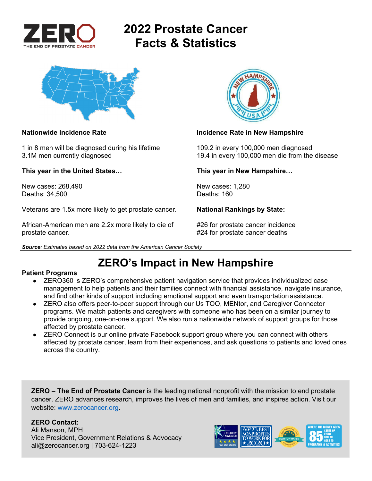

# **2022 Prostate Cancer Facts & Statistics**



1 in 8 men will be diagnosed during his lifetime 109.2 in every 100,000 men diagnosed

**This year in the United States… This year in New Hampshire…** 

New cases: 268,490 New cases: 1,280<br>Deaths: 34.500 Deaths: 160 Deaths: 34,500

Veterans are 1.5x more likely to get prostate cancer. **National Rankings by State:** 

African-American men are 2.2x more likely to die of #26 for prostate cancer incidence prostate cancer. #24 for prostate cancer deaths





### **Nationwide Incidence Rate Incidence Rate in New Hampshire**

3.1M men currently diagnosed 19.4 in every 100,000 men die from the disease

## **ZERO's Impact in New Hampshire**

### **Patient Programs**

- ZERO360 is ZERO's comprehensive patient navigation service that provides individualized case management to help patients and their families connect with financial assistance, navigate insurance, and find other kinds of support including emotional support and even transportation assistance.
- ZERO also offers peer-to-peer support through our Us TOO, MENtor, and Caregiver Connector programs. We match patients and caregivers with someone who has been on a similar journey to provide ongoing, one-on-one support. We also run a nationwide network of support groups for those affected by prostate cancer.
- ZERO Connect is our online private Facebook support group where you can connect with others affected by prostate cancer, learn from their experiences, and ask questions to patients and loved ones across the country.

**ZERO – The End of Prostate Cancer** is the leading national nonprofit with the mission to end prostate cancer. ZERO advances research, improves the lives of men and families, and inspires action. Visit our website: www.zerocancer.org.

### **ZERO Contact:**

Ali Manson, MPH Vice President, Government Relations & Advocacy ali@zerocancer.org | 703-624-1223